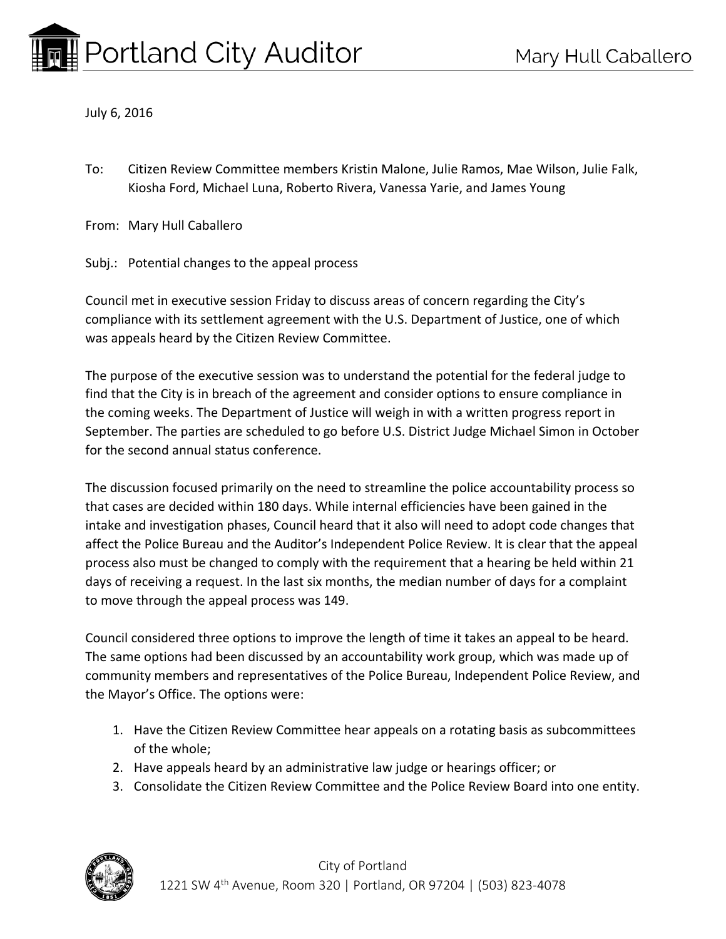July 6, 2016

To: Citizen Review Committee members Kristin Malone, Julie Ramos, Mae Wilson, Julie Falk, Kiosha Ford, Michael Luna, Roberto Rivera, Vanessa Yarie, and James Young

From: Mary Hull Caballero

Subj.: Potential changes to the appeal process

Council met in executive session Friday to discuss areas of concern regarding the City's compliance with its settlement agreement with the U.S. Department of Justice, one of which was appeals heard by the Citizen Review Committee.

The purpose of the executive session was to understand the potential for the federal judge to find that the City is in breach of the agreement and consider options to ensure compliance in the coming weeks. The Department of Justice will weigh in with a written progress report in September. The parties are scheduled to go before U.S. District Judge Michael Simon in October for the second annual status conference.

The discussion focused primarily on the need to streamline the police accountability process so that cases are decided within 180 days. While internal efficiencies have been gained in the intake and investigation phases, Council heard that it also will need to adopt code changes that affect the Police Bureau and the Auditor's Independent Police Review. It is clear that the appeal process also must be changed to comply with the requirement that a hearing be held within 21 days of receiving a request. In the last six months, the median number of days for a complaint to move through the appeal process was 149.

Council considered three options to improve the length of time it takes an appeal to be heard. The same options had been discussed by an accountability work group, which was made up of community members and representatives of the Police Bureau, Independent Police Review, and the Mayor's Office. The options were:

- 1. Have the Citizen Review Committee hear appeals on a rotating basis as subcommittees of the whole;
- 2. Have appeals heard by an administrative law judge or hearings officer; or
- 3. Consolidate the Citizen Review Committee and the Police Review Board into one entity.